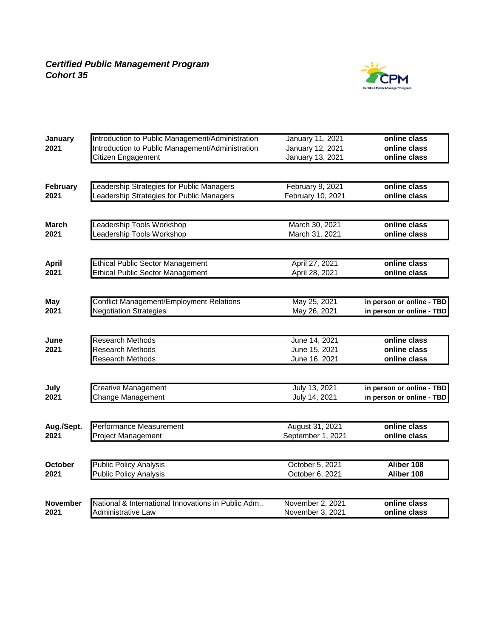

| January         | Introduction to Public Management/Administration   | <b>January 11, 2021</b> | online class              |
|-----------------|----------------------------------------------------|-------------------------|---------------------------|
| 2021            | Introduction to Public Management/Administration   | January 12, 2021        | online class              |
|                 | Citizen Engagement                                 | January 13, 2021        | online class              |
|                 |                                                    |                         |                           |
| February        | Leadership Strategies for Public Managers          | February 9, 2021        | online class              |
| 2021            | Leadership Strategies for Public Managers          | February 10, 2021       | online class              |
|                 |                                                    |                         |                           |
| <b>March</b>    | <b>Leadership Tools Workshop</b>                   | March 30, 2021          | online class              |
| 2021            | eadership Tools Workshop                           | March 31, 2021          | online class              |
|                 |                                                    |                         |                           |
| <b>April</b>    | <b>Ethical Public Sector Management</b>            | April 27, 2021          | online class              |
| 2021            | <b>Ethical Public Sector Management</b>            | April 28, 2021          | online class              |
|                 |                                                    |                         |                           |
| <b>May</b>      | <b>Conflict Management/Employment Relations</b>    | May 25, 2021            | in person or online - TBD |
| 2021            | <b>Negotiation Strategies</b>                      | May 26, 2021            | in person or online - TBD |
|                 |                                                    |                         |                           |
| June            | <b>Research Methods</b>                            | June 14, 2021           | online class              |
| 2021            | <b>Research Methods</b>                            | June 15, 2021           | online class              |
|                 | <b>Research Methods</b>                            | June 16, 2021           | online class              |
|                 |                                                    |                         |                           |
| July            | <b>Creative Management</b>                         | July 13, 2021           | in person or online - TBD |
| 2021            | Change Management                                  | July 14, 2021           | in person or online - TBD |
|                 |                                                    |                         |                           |
| Aug./Sept.      | Performance Measurement                            | August 31, 2021         | online class              |
| 2021            | <b>Project Management</b>                          | September 1, 2021       | online class              |
|                 |                                                    |                         |                           |
| October         | <b>Public Policy Analysis</b>                      | October 5, 2021         | Aliber 108                |
| 2021            | <b>Public Policy Analysis</b>                      | October 6, 2021         | Aliber 108                |
|                 |                                                    |                         |                           |
| <b>November</b> | National & International Innovations in Public Adm | November 2, 2021        | online class              |
| 2021            | <b>Administrative Law</b>                          | November 3, 2021        | online class              |